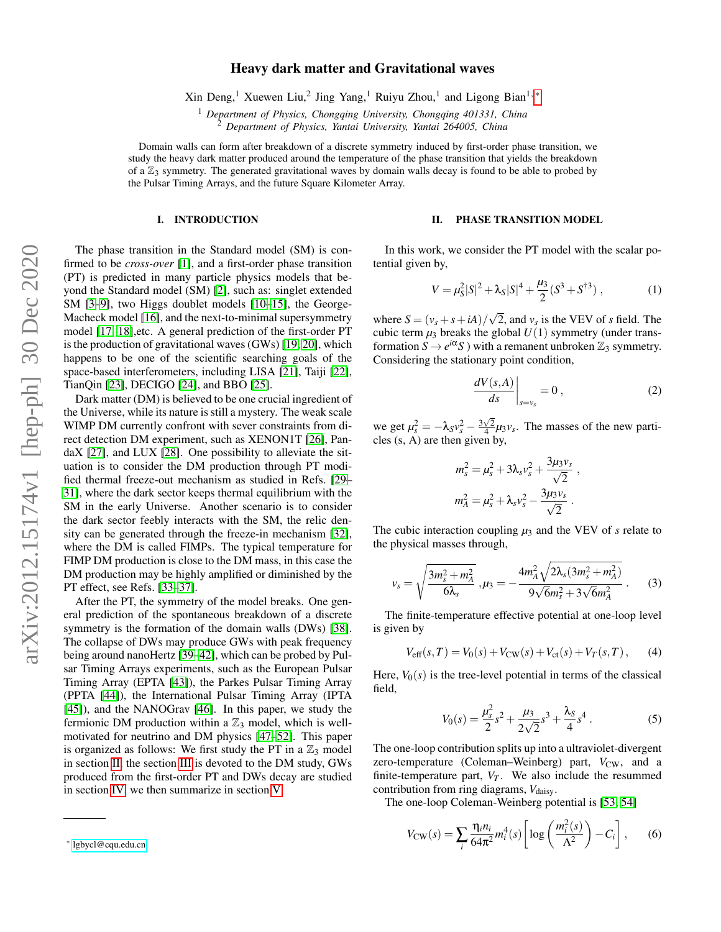# Heavy dark matter and Gravitational waves

Xin Deng,<sup>1</sup> Xuewen Liu,<sup>2</sup> Jing Yang,<sup>1</sup> Ruiyu Zhou,<sup>1</sup> and Ligong Bian<sup>1,\*</sup>

<sup>1</sup> *Department of Physics, Chongqing University, Chongqing 401331, China*

<sup>2</sup> *Department of Physics, Yantai University, Yantai 264005, China*

Domain walls can form after breakdown of a discrete symmetry induced by first-order phase transition, we study the heavy dark matter produced around the temperature of the phase transition that yields the breakdown of a  $\mathbb{Z}_3$  symmetry. The generated gravitational waves by domain walls decay is found to be able to probed by the Pulsar Timing Arrays, and the future Square Kilometer Array.

## I. INTRODUCTION

The phase transition in the Standard model (SM) is confirmed to be *cross-over* [\[1\]](#page-5-0), and a first-order phase transition (PT) is predicted in many particle physics models that beyond the Standard model (SM) [\[2\]](#page-5-1), such as: singlet extended SM [\[3](#page-5-2)[–9\]](#page-5-3), two Higgs doublet models [\[10–](#page-5-4)[15\]](#page-5-5), the George-Macheck model [\[16\]](#page-5-6), and the next-to-minimal supersymmetry model [\[17,](#page-5-7) [18\]](#page-5-8),etc. A general prediction of the first-order PT is the production of gravitational waves (GWs) [\[19,](#page-5-9) [20\]](#page-5-10), which happens to be one of the scientific searching goals of the space-based interferometers, including LISA [\[21\]](#page-5-11), Taiji [\[22\]](#page-5-12), TianQin [\[23\]](#page-5-13), DECIGO [\[24\]](#page-6-0), and BBO [\[25\]](#page-6-1).

Dark matter (DM) is believed to be one crucial ingredient of the Universe, while its nature is still a mystery. The weak scale WIMP DM currently confront with sever constraints from direct detection DM experiment, such as XENON1T [\[26\]](#page-6-2), PandaX [\[27\]](#page-6-3), and LUX [\[28\]](#page-6-4). One possibility to alleviate the situation is to consider the DM production through PT modified thermal freeze-out mechanism as studied in Refs. [\[29–](#page-6-5) [31\]](#page-6-6), where the dark sector keeps thermal equilibrium with the SM in the early Universe. Another scenario is to consider the dark sector feebly interacts with the SM, the relic density can be generated through the freeze-in mechanism [\[32\]](#page-6-7), where the DM is called FIMPs. The typical temperature for FIMP DM production is close to the DM mass, in this case the DM production may be highly amplified or diminished by the PT effect, see Refs. [\[33](#page-6-8)[–37\]](#page-6-9).

After the PT, the symmetry of the model breaks. One general prediction of the spontaneous breakdown of a discrete symmetry is the formation of the domain walls (DWs) [\[38\]](#page-6-10). The collapse of DWs may produce GWs with peak frequency being around nanoHertz [\[39–](#page-6-11)[42\]](#page-6-12), which can be probed by Pulsar Timing Arrays experiments, such as the European Pulsar Timing Array (EPTA [\[43\]](#page-6-13)), the Parkes Pulsar Timing Array (PPTA [\[44\]](#page-6-14)), the International Pulsar Timing Array (IPTA [\[45\]](#page-6-15)), and the NANOGrav [\[46\]](#page-6-16). In this paper, we study the fermionic DM production within a  $\mathbb{Z}_3$  model, which is wellmotivated for neutrino and DM physics [\[47](#page-6-17)[–52\]](#page-6-18). This paper is organized as follows: We first study the PT in a  $\mathbb{Z}_3$  model in section [II,](#page-0-1) the section [III](#page-1-0) is devoted to the DM study, GWs produced from the first-order PT and DWs decay are studied in section [IV,](#page-3-0) we then summarize in section [V.](#page-4-0)

#### <span id="page-0-1"></span>II. PHASE TRANSITION MODEL

In this work, we consider the PT model with the scalar potential given by,

$$
V = \mu_S^2 |S|^2 + \lambda_S |S|^4 + \frac{\mu_3}{2} (S^3 + S^{\dagger 3}), \qquad (1)
$$

where  $S = (v_s + s + iA)/$ √ 2, and *v<sup>s</sup>* is the VEV of *s* field. The cubic term  $\mu_3$  breaks the global  $U(1)$  symmetry (under transformation  $S \to e^{i\alpha} S$ ) with a remanent unbroken  $\mathbb{Z}_3$  symmetry. Considering the stationary point condition,

$$
\left. \frac{dV(s,A)}{ds} \right|_{s=v_s} = 0 , \qquad (2)
$$

we get  $\mu_s^2 = -\lambda_s v_s^2 - \frac{3\sqrt{2}}{4} \mu_3 v_s$ . The masses of the new particles (s, A) are then given by,

$$
m_s^2 = \mu_s^2 + 3\lambda_s v_s^2 + \frac{3\mu_3 v_s}{\sqrt{2}} ,
$$
  

$$
m_A^2 = \mu_s^2 + \lambda_s v_s^2 - \frac{3\mu_3 v_s}{\sqrt{2}} .
$$

The cubic interaction coupling  $\mu_3$  and the VEV of *s* relate to the physical masses through,

$$
v_s = \sqrt{\frac{3m_s^2 + m_A^2}{6\lambda_s}}, \mu_3 = -\frac{4m_A^2\sqrt{2\lambda_s(3m_s^2 + m_A^2)}}{9\sqrt{6}m_s^2 + 3\sqrt{6}m_A^2}.
$$
 (3)

The finite-temperature effective potential at one-loop level is given by

$$
V_{\text{eff}}(s,T) = V_0(s) + V_{\text{CW}}(s) + V_{\text{ct}}(s) + V_T(s,T), \quad (4)
$$

Here,  $V_0(s)$  is the tree-level potential in terms of the classical field,

$$
V_0(s) = \frac{\mu_s^2}{2}s^2 + \frac{\mu_3}{2\sqrt{2}}s^3 + \frac{\lambda_s}{4}s^4.
$$
 (5)

The one-loop contribution splits up into a ultraviolet-divergent zero-temperature (Coleman–Weinberg) part,  $V_{CW}$ , and a finite-temperature part,  $V_T$ . We also include the resummed contribution from ring diagrams,  $V_{\text{daisy}}$ .

The one-loop Coleman-Weinberg potential is [\[53,](#page-6-19) [54\]](#page-6-20)

$$
V_{\rm CW}(s) = \sum_{i} \frac{\eta_i n_i}{64\pi^2} m_i^4(s) \left[ \log \left( \frac{m_i^2(s)}{\Lambda^2} \right) - C_i \right],\tag{6}
$$

<span id="page-0-0"></span><sup>∗</sup> [lgbycl@cqu.edu.cn](mailto:lgbycl@cqu.edu.cn)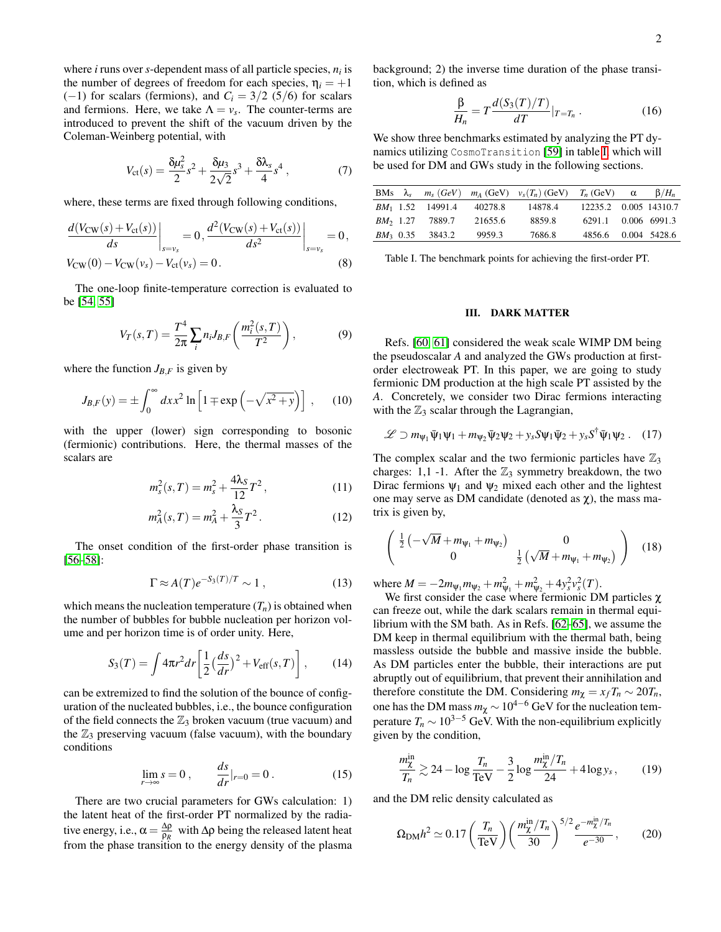where *i* runs over *s*-dependent mass of all particle species, *n<sup>i</sup>* is the number of degrees of freedom for each species,  $\eta_i = +1$  $(-1)$  for scalars (fermions), and  $C_i = 3/2$  (5/6) for scalars and fermions. Here, we take  $\Lambda = v_s$ . The counter-terms are introduced to prevent the shift of the vacuum driven by the Coleman-Weinberg potential, with

$$
V_{\rm ct}(s) = \frac{\delta \mu_s^2}{2} s^2 + \frac{\delta \mu_3}{2\sqrt{2}} s^3 + \frac{\delta \lambda_s}{4} s^4 \,, \tag{7}
$$

where, these terms are fixed through following conditions,

$$
\frac{d(V_{\text{CW}}(s) + V_{\text{ct}}(s))}{ds}\bigg|_{s=v_s} = 0, \frac{d^2(V_{\text{CW}}(s) + V_{\text{ct}}(s))}{ds^2}\bigg|_{s=v_s} = 0,
$$
  
\n
$$
V_{\text{CW}}(0) - V_{\text{CW}}(v_s) - V_{\text{ct}}(v_s) = 0.
$$
\n(8)

The one-loop finite-temperature correction is evaluated to be [\[54,](#page-6-20) [55\]](#page-6-21)

$$
V_T(s,T) = \frac{T^4}{2\pi} \sum_{i} n_i J_{B,F} \left( \frac{m_i^2(s,T)}{T^2} \right),
$$
 (9)

where the function  $J_{B,F}$  is given by

$$
J_{B,F}(y) = \pm \int_0^\infty dx x^2 \ln\left[1 \mp \exp\left(-\sqrt{x^2 + y}\right)\right],\qquad(10)
$$

with the upper (lower) sign corresponding to bosonic (fermionic) contributions. Here, the thermal masses of the scalars are

$$
m_s^2(s,T) = m_s^2 + \frac{4\lambda_S}{12}T^2,
$$
\t(11)

$$
m_A^2(s,T) = m_A^2 + \frac{\lambda_S}{3}T^2.
$$
 (12)

The onset condition of the first-order phase transition is [\[56](#page-6-22)[–58\]](#page-6-23):

$$
\Gamma \approx A(T)e^{-S_3(T)/T} \sim 1 , \qquad (13)
$$

which means the nucleation temperature  $(T_n)$  is obtained when the number of bubbles for bubble nucleation per horizon volume and per horizon time is of order unity. Here,

$$
S_3(T) = \int 4\pi r^2 dr \left[ \frac{1}{2} \left( \frac{ds}{dr} \right)^2 + V_{\text{eff}}(s, T) \right], \quad (14)
$$

can be extremized to find the solution of the bounce of configuration of the nucleated bubbles, i.e., the bounce configuration of the field connects the  $\mathbb{Z}_3$  broken vacuum (true vacuum) and the  $\mathbb{Z}_3$  preserving vacuum (false vacuum), with the boundary conditions

$$
\lim_{r \to \infty} s = 0, \qquad \frac{ds}{dr}|_{r=0} = 0.
$$
 (15)

There are two crucial parameters for GWs calculation: 1) the latent heat of the first-order PT normalized by the radiative energy, i.e.,  $\alpha = \frac{\Delta \rho}{\Omega R}$ ρ*R* with ∆ρ being the released latent heat from the phase transition to the energy density of the plasma background; 2) the inverse time duration of the phase transition, which is defined as

$$
\frac{\beta}{H_n} = T \frac{d(S_3(T)/T)}{dT}|_{T=T_n}.
$$
\n(16)

We show three benchmarks estimated by analyzing the PT dynamics utilizing CosmoTransition [\[59\]](#page-6-24) in table [I,](#page-1-1) which will be used for DM and GWs study in the following sections.

|  |                                    |         | BMs $\lambda_s$ $m_s$ (GeV) $m_A$ (GeV) $v_s(T_n)$ (GeV) $T_n$ (GeV) $\alpha$ |                       | $\beta/H_n$ |
|--|------------------------------------|---------|-------------------------------------------------------------------------------|-----------------------|-------------|
|  | $BM_1$ 1.52 14991.4                | 40278.8 | 14878.4                                                                       | 12235.2 0.005 14310.7 |             |
|  | <i>BM</i> <sub>2</sub> 1.27 7889.7 | 21655.6 | 8859.8                                                                        | 6291.1 0.006 6991.3   |             |
|  | $BM_3$ 0.35 3843.2                 | 9959.3  | 7686.8                                                                        | 4856.6 0.004 5428.6   |             |

<span id="page-1-1"></span>Table I. The benchmark points for achieving the first-order PT.

## <span id="page-1-0"></span>III. DARK MATTER

Refs. [\[60,](#page-6-25) [61\]](#page-6-26) considered the weak scale WIMP DM being the pseudoscalar *A* and analyzed the GWs production at firstorder electroweak PT. In this paper, we are going to study fermionic DM production at the high scale PT assisted by the *A*. Concretely, we consider two Dirac fermions interacting with the  $\mathbb{Z}_3$  scalar through the Lagrangian,

$$
\mathcal{L} \supset m_{\Psi_1} \bar{\Psi}_1 \Psi_1 + m_{\Psi_2} \bar{\Psi}_2 \Psi_2 + y_s S \Psi_1 \bar{\Psi}_2 + y_s S^{\dagger} \bar{\Psi}_1 \Psi_2. \quad (17)
$$

<span id="page-1-4"></span>The complex scalar and the two fermionic particles have  $\mathbb{Z}_3$ charges: 1,1 -1. After the  $\mathbb{Z}_3$  symmetry breakdown, the two Dirac fermions  $\psi_1$  and  $\psi_2$  mixed each other and the lightest one may serve as DM candidate (denoted as  $\chi$ ), the mass matrix is given by,

$$
\begin{pmatrix} \frac{1}{2} \left( -\sqrt{M} + m_{\psi_1} + m_{\psi_2} \right) & 0 \\ 0 & \frac{1}{2} \left( \sqrt{M} + m_{\psi_1} + m_{\psi_2} \right) \end{pmatrix} (18)
$$

where  $M = -2m_{\Psi_1}m_{\Psi_2} + m_{\Psi_1}^2 + m_{\Psi_2}^2 + 4y_s^2v_s^2(T)$ .

We first consider the case where fermionic DM particles χ can freeze out, while the dark scalars remain in thermal equilibrium with the SM bath. As in Refs. [\[62–](#page-6-27)[65\]](#page-6-28), we assume the DM keep in thermal equilibrium with the thermal bath, being massless outside the bubble and massive inside the bubble. As DM particles enter the bubble, their interactions are put abruptly out of equilibrium, that prevent their annihilation and therefore constitute the DM. Considering  $m_{\chi} = x_f T_n \sim 20 T_n$ , one has the DM mass  $m_\chi \sim 10^{4-6}$  GeV for the nucleation temperature  $T_n \sim 10^{3-5}$  GeV. With the non-equilibrium explicitly given by the condition,

<span id="page-1-2"></span>
$$
\frac{m_{\chi}^{\text{in}}}{T_n} \gtrsim 24 - \log \frac{T_n}{\text{TeV}} - \frac{3}{2} \log \frac{m_{\chi}^{\text{in}}/T_n}{24} + 4 \log y_s, \qquad (19)
$$

and the DM relic density calculated as

<span id="page-1-3"></span>
$$
\Omega_{\rm DM} h^2 \simeq 0.17 \left(\frac{T_n}{\rm TeV}\right) \left(\frac{m_{\chi}^{\rm in}/T_n}{30}\right)^{5/2} \frac{e^{-m_{\chi}^{\rm in}/T_n}}{e^{-30}},\tag{20}
$$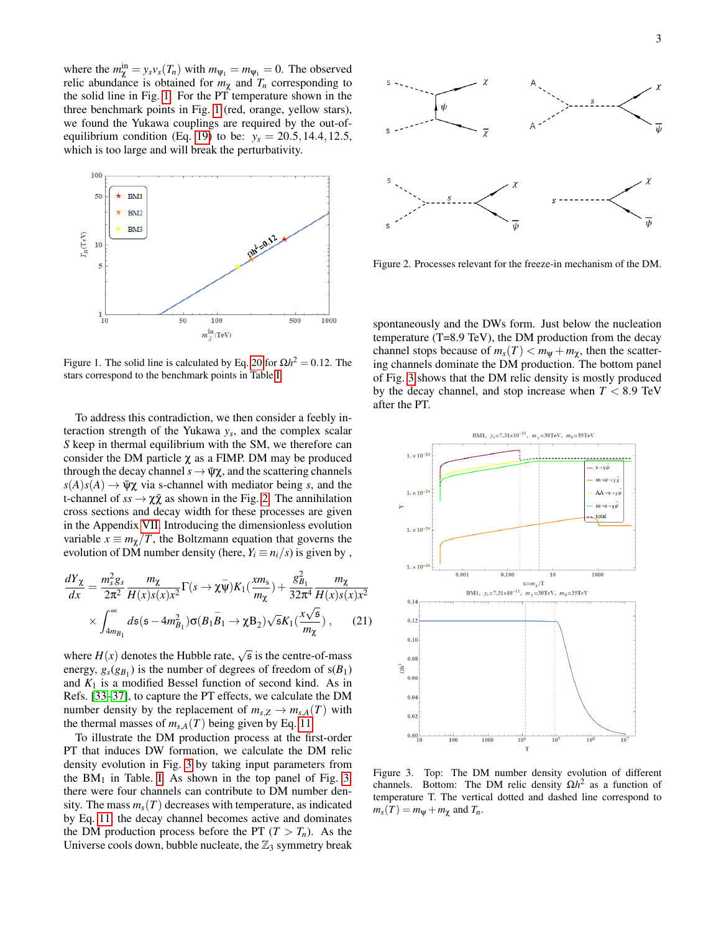where the  $m_{\chi}^{in} = y_s v_s(T_n)$  with  $m_{\psi_1} = m_{\psi_1} = 0$ . The observed relic abundance is obtained for  $m<sub>\chi</sub>$  and  $T<sub>n</sub>$  corresponding to the solid line in Fig. [1.](#page-2-0) For the PT temperature shown in the three benchmark points in Fig. [1](#page-2-0) (red, orange, yellow stars), we found the Yukawa couplings are required by the out-of-equilibrium condition (Eq. [19\)](#page-1-2) to be:  $y_s = 20.5, 14.4, 12.5$ , which is too large and will break the perturbativity.



<span id="page-2-0"></span>Figure 1. The solid line is calculated by Eq. [20](#page-1-3) for  $Ωh² = 0.12$ . The stars correspond to the benchmark points in Table [I.](#page-1-1)

To address this contradiction, we then consider a feebly interaction strength of the Yukawa *y<sup>s</sup>* , and the complex scalar *S* keep in thermal equilibrium with the SM, we therefore can consider the DM particle  $\chi$  as a FIMP. DM may be produced through the decay channel  $s \to \bar{\psi}\chi$ , and the scattering channels  $s(A)s(A) \to \bar{\psi}\chi$  via s-channel with mediator being *s*, and the t-channel of  $ss \to \chi \bar{\chi}$  as shown in the Fig. [2.](#page-2-1) The annihilation cross sections and decay width for these processes are given in the Appendix [VII.](#page-4-1) Introducing the dimensionless evolution variable  $x \equiv m_\gamma/T$ , the Boltzmann equation that governs the evolution of DM number density (here,  $Y_i \equiv n_i/s$ ) is given by,

$$
\frac{dY_{\chi}}{dx} = \frac{m_s^2 g_s}{2\pi^2} \frac{m_{\chi}}{H(x)s(x)x^2} \Gamma(s \to \chi \bar{\psi}) K_1(\frac{x m_s}{m_{\chi}}) + \frac{g_{B_1}^2}{32\pi^4} \frac{m_{\chi}}{H(x)s(x)x^2}
$$

$$
\times \int_{4m_{B_1}}^{\infty} ds (s - 4m_{B_1}^2) \sigma(B_1 \bar{B}_1 \to \chi B_2) \sqrt{s} K_1(\frac{x\sqrt{s}}{m_{\chi}}) , \qquad (21)
$$

where  $H(x)$  denotes the Hubble rate,  $\sqrt{s}$  is the centre-of-mass energy,  $g_s(g_{B_1})$  is the number of degrees of freedom of  $s(B_1)$ and  $K_1$  is a modified Bessel function of second kind. As in Refs. [\[33–](#page-6-8)[37\]](#page-6-9), to capture the PT effects, we calculate the DM number density by the replacement of  $m_{s,Z} \to m_{s,A}(T)$  with the thermal masses of  $m_{s,A}(T)$  being given by Eq. [11.](#page-1-4)

To illustrate the DM production process at the first-order PT that induces DW formation, we calculate the DM relic density evolution in Fig. [3](#page-2-2) by taking input parameters from the  $BM<sub>1</sub>$  in Table. [I.](#page-1-1) As shown in the top panel of Fig. [3,](#page-2-2) there were four channels can contribute to DM number density. The mass  $m_s(T)$  decreases with temperature, as indicated by Eq. [11,](#page-1-4) the decay channel becomes active and dominates the DM production process before the PT  $(T > T_n)$ . As the Universe cools down, bubble nucleate, the  $\mathbb{Z}_3$  symmetry break



<span id="page-2-1"></span>Figure 2. Processes relevant for the freeze-in mechanism of the DM.

spontaneously and the DWs form. Just below the nucleation temperature (T=8.9 TeV), the DM production from the decay channel stops because of  $m_s(T) < m_\Psi + m_\chi$ , then the scattering channels dominate the DM production. The bottom panel of Fig. [3](#page-2-2) shows that the DM relic density is mostly produced by the decay channel, and stop increase when  $T < 8.9$  TeV after the PT.



<span id="page-2-2"></span>Figure 3. Top: The DM number density evolution of different channels. Bottom: The DM relic density  $\Omega h^2$  as a function of temperature T. The vertical dotted and dashed line correspond to  $m_s(T) = m_\Psi + m_\chi$  and  $T_n$ .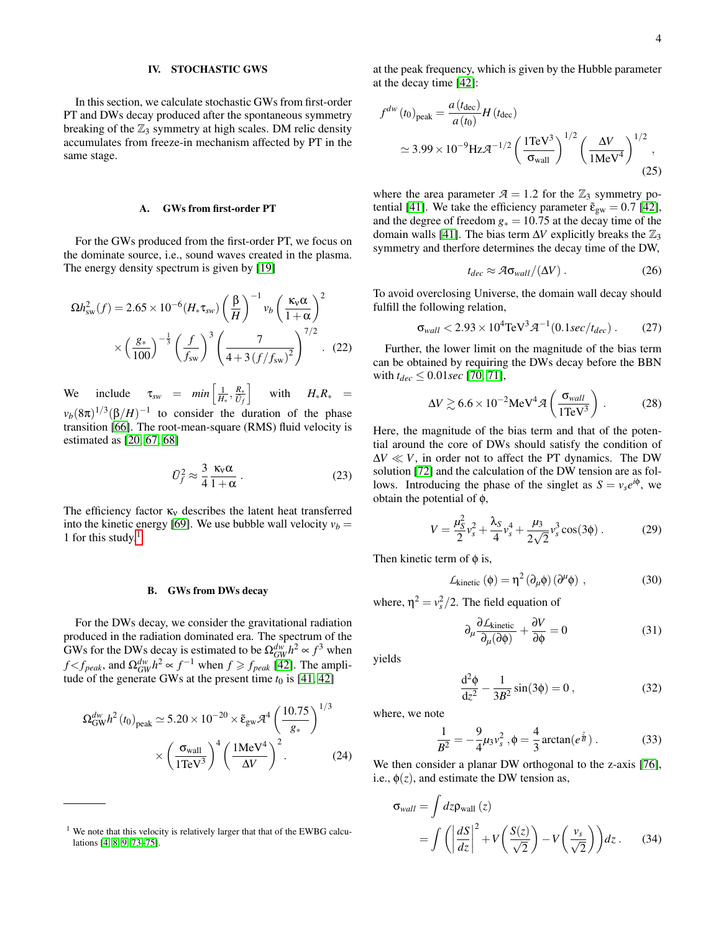## <span id="page-3-0"></span>IV. STOCHASTIC GWS

In this section, we calculate stochastic GWs from first-order PT and DWs decay produced after the spontaneous symmetry breaking of the  $\mathbb{Z}_3$  symmetry at high scales. DM relic density accumulates from freeze-in mechanism affected by PT in the same stage.

## A. GWs from first-order PT

For the GWs produced from the first-order PT, we focus on the dominate source, i.e., sound waves created in the plasma. The energy density spectrum is given by [\[19\]](#page-5-9)

$$
\Omega h_{\rm sw}^2(f) = 2.65 \times 10^{-6} (H_* \tau_{\rm sw}) \left(\frac{\beta}{H}\right)^{-1} v_b \left(\frac{\kappa_{\rm v} \alpha}{1+\alpha}\right)^2
$$

$$
\times \left(\frac{g_*}{100}\right)^{-\frac{1}{3}} \left(\frac{f}{f_{\rm sw}}\right)^3 \left(\frac{7}{4+3\left(f/f_{\rm sw}\right)^2}\right)^{7/2} . \quad (22)
$$

We include  $\tau_{sw} = min \left[ \frac{1}{H_*}, \frac{R_*}{\bar{U}_f} \right]$ i with  $H_*R_* =$  $v_b(8\pi)^{1/3}(\beta/H)^{-1}$  to consider the duration of the phase transition [\[66\]](#page-6-29). The root-mean-square (RMS) fluid velocity is estimated as [\[20,](#page-5-10) [67,](#page-6-30) [68\]](#page-6-31)

$$
\bar{U}_f^2 \approx \frac{3}{4} \frac{\kappa_v \alpha}{1 + \alpha} \,. \tag{23}
$$

The efficiency factor  $\kappa_v$  describes the latent heat transferred into the kinetic energy [\[69\]](#page-6-32). We use bubble wall velocity  $v_b =$ [1](#page-3-1) for this study. $<sup>1</sup>$ </sup>

#### B. GWs from DWs decay

For the DWs decay, we consider the gravitational radiation produced in the radiation dominated era. The spectrum of the GWs for the DWs decay is estimated to be  $\Omega_{GW}^{dw} h^2 \propto f^3$  when  $f < f_{peak}$ , and  $\Omega_{GW}^{dw} h^2 \propto f^{-1}$  when  $f \ge f_{peak}$  [\[42\]](#page-6-12). The amplitude of the generate GWs at the present time  $t_0$  is [\[41,](#page-6-33) [42\]](#page-6-12)

$$
\Omega_{\text{GW}}^{dw} h^2(t_0)_{\text{peak}} \simeq 5.20 \times 10^{-20} \times \tilde{\epsilon}_{\text{gw}} \mathcal{A}^4 \left(\frac{10.75}{g_*}\right)^{1/3} \times \left(\frac{\sigma_{\text{wall}}}{1\text{TeV}^3}\right)^4 \left(\frac{1\text{MeV}^4}{\Delta V}\right)^2.
$$
 (24)

at the peak frequency, which is given by the Hubble parameter at the decay time [\[42\]](#page-6-12):

$$
f^{dw} (t_0)_{\text{peak}} = \frac{a (t_{\text{dec}})}{a (t_0)} H (t_{\text{dec}})
$$
  
 
$$
\simeq 3.99 \times 10^{-9} \text{Hz} \mathcal{A}^{-1/2} \left(\frac{1 \text{TeV}^3}{\sigma_{\text{wall}}}\right)^{1/2} \left(\frac{\Delta V}{1 \text{MeV}^4}\right)^{1/2}, \tag{25}
$$

where the area parameter  $A = 1.2$  for the  $\mathbb{Z}_3$  symmetry po-tential [\[41\]](#page-6-33). We take the efficiency parameter  $\tilde{\epsilon}_{gw} = 0.7$  [\[42\]](#page-6-12), and the degree of freedom  $g<sub>*</sub> = 10.75$  at the decay time of the domain walls [\[41\]](#page-6-33). The bias term  $\Delta V$  explicitly breaks the  $\mathbb{Z}_3$ symmetry and therfore determines the decay time of the DW,

$$
t_{dec} \approx \mathcal{A}\sigma_{wall}/(\Delta V) \,. \tag{26}
$$

To avoid overclosing Universe, the domain wall decay should fulfill the following relation,

$$
\sigma_{wall} < 2.93 \times 10^4 \text{TeV}^3 \mathcal{A}^{-1} (0.1 \text{sec}/t_{dec}) \,. \tag{27}
$$

Further, the lower limit on the magnitude of the bias term can be obtained by requiring the DWs decay before the BBN with  $t_{dec} \leq 0.01$ *sec* [\[70,](#page-6-35) [71\]](#page-6-36),

$$
\Delta V \gtrsim 6.6 \times 10^{-2} \text{MeV}^4 \mathcal{A} \left( \frac{\sigma_{wall}}{1 \text{TeV}^3} \right) \,. \tag{28}
$$

Here, the magnitude of the bias term and that of the potential around the core of DWs should satisfy the condition of  $\Delta V \ll V$ , in order not to affect the PT dynamics. The DW solution [\[72\]](#page-6-37) and the calculation of the DW tension are as follows. Introducing the phase of the singlet as  $S = v_s e^{i\phi}$ , we obtain the potential of φ,

$$
V = \frac{\mu_S^2}{2} v_s^2 + \frac{\lambda_S}{4} v_s^4 + \frac{\mu_S}{2\sqrt{2}} v_s^3 \cos(3\phi) . \tag{29}
$$

Then kinetic term of  $\phi$  is,

$$
\mathcal{L}_{kinetic}(\phi) = \eta^2 (\partial_{\mu} \phi) (\partial^{\mu} \phi) , \qquad (30)
$$

where,  $\eta^2 = v_s^2/2$ . The field equation of

$$
\partial_{\mu} \frac{\partial L_{\text{kinetic}}}{\partial_{\mu} (\partial \phi)} + \frac{\partial V}{\partial \phi} = 0 \tag{31}
$$

yields

$$
\frac{d^2\phi}{dz^2} - \frac{1}{3B^2}\sin(3\phi) = 0\,,\tag{32}
$$

where, we note

$$
\frac{1}{B^2} = -\frac{9}{4}\mu_3 v_s^2 , \phi = \frac{4}{3}\arctan(e^{\frac{z}{B}}) .
$$
 (33)

We then consider a planar DW orthogonal to the z-axis [\[76\]](#page-7-1), i.e.,  $\phi(z)$ , and estimate the DW tension as,

$$
\sigma_{wall} = \int dz \rho_{wall}(z)
$$
  
= 
$$
\int \left( \left| \frac{dS}{dz} \right|^2 + V \left( \frac{S(z)}{\sqrt{2}} \right) - V \left( \frac{v_s}{\sqrt{2}} \right) \right) dz.
$$
 (34)

<span id="page-3-1"></span><sup>&</sup>lt;sup>1</sup> We note that this velocity is relatively larger that that of the EWBG calculations [\[4,](#page-5-14) [8,](#page-5-15) [9,](#page-5-3) [73–](#page-6-34)[75\]](#page-7-0).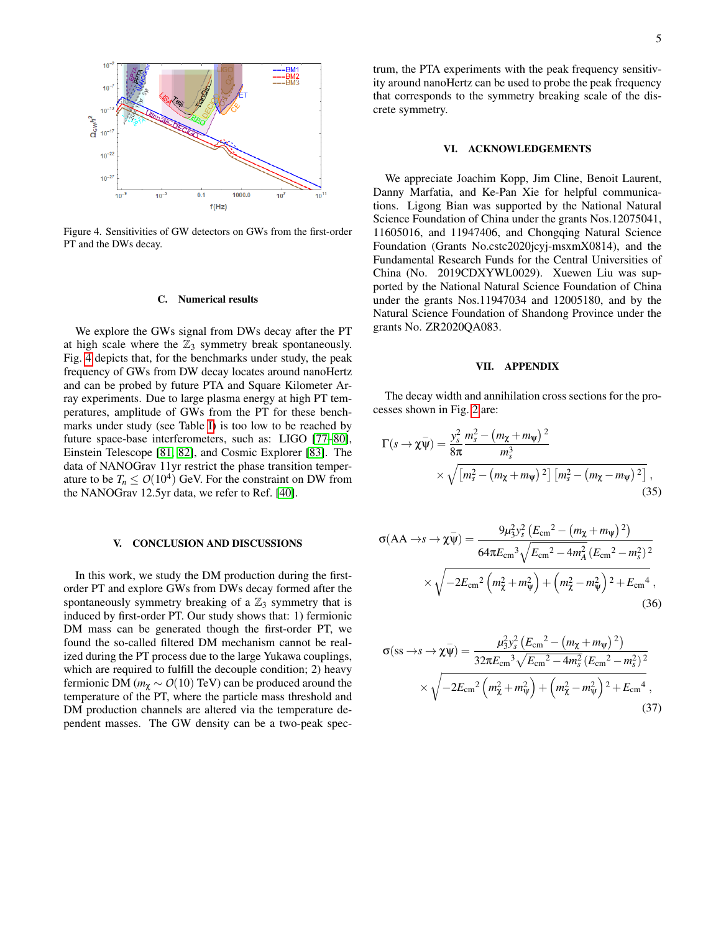

<span id="page-4-2"></span>Figure 4. Sensitivities of GW detectors on GWs from the first-order PT and the DWs decay.

## C. Numerical results

We explore the GWs signal from DWs decay after the PT at high scale where the  $\mathbb{Z}_3$  symmetry break spontaneously. Fig. [4](#page-4-2) depicts that, for the benchmarks under study, the peak frequency of GWs from DW decay locates around nanoHertz and can be probed by future PTA and Square Kilometer Array experiments. Due to large plasma energy at high PT temperatures, amplitude of GWs from the PT for these benchmarks under study (see Table [I\)](#page-1-1) is too low to be reached by future space-base interferometers, such as: LIGO [\[77](#page-7-2)[–80\]](#page-7-3), Einstein Telescope [\[81,](#page-7-4) [82\]](#page-7-5), and Cosmic Explorer [\[83\]](#page-7-6). The data of NANOGrav 11yr restrict the phase transition temperature to be  $T_n \leq O(10^4)$  GeV. For the constraint on DW from the NANOGrav 12.5yr data, we refer to Ref. [\[40\]](#page-6-38).

## <span id="page-4-0"></span>V. CONCLUSION AND DISCUSSIONS

In this work, we study the DM production during the firstorder PT and explore GWs from DWs decay formed after the spontaneously symmetry breaking of a  $\mathbb{Z}_3$  symmetry that is induced by first-order PT. Our study shows that: 1) fermionic DM mass can be generated though the first-order PT, we found the so-called filtered DM mechanism cannot be realized during the PT process due to the large Yukawa couplings, which are required to fulfill the decouple condition; 2) heavy fermionic DM ( $m_\chi \sim O(10)$  TeV) can be produced around the temperature of the PT, where the particle mass threshold and DM production channels are altered via the temperature dependent masses. The GW density can be a two-peak spectrum, the PTA experiments with the peak frequency sensitivity around nanoHertz can be used to probe the peak frequency that corresponds to the symmetry breaking scale of the discrete symmetry.

## VI. ACKNOWLEDGEMENTS

We appreciate Joachim Kopp, Jim Cline, Benoit Laurent, Danny Marfatia, and Ke-Pan Xie for helpful communications. Ligong Bian was supported by the National Natural Science Foundation of China under the grants Nos.12075041, 11605016, and 11947406, and Chongqing Natural Science Foundation (Grants No.cstc2020jcyj-msxmX0814), and the Fundamental Research Funds for the Central Universities of China (No. 2019CDXYWL0029). Xuewen Liu was supported by the National Natural Science Foundation of China under the grants Nos.11947034 and 12005180, and by the Natural Science Foundation of Shandong Province under the grants No. ZR2020QA083.

## <span id="page-4-1"></span>VII. APPENDIX

The decay width and annihilation cross sections for the processes shown in Fig. [2](#page-2-1) are:

$$
\Gamma(s \to \chi \bar{\psi}) = \frac{y_s^2}{8\pi} \frac{m_s^2 - (m_\chi + m_\psi)^2}{m_s^3} \times \sqrt{[m_s^2 - (m_\chi + m_\psi)^2] [m_s^2 - (m_\chi - m_\psi)^2]},
$$
\n(35)

$$
\sigma(\text{AA} \to s \to \chi \bar{\psi}) = \frac{9\mu_3^2 y_s^2 \left( E_{\text{cm}}^2 - \left( m_\chi + m_\psi \right)^2 \right)}{64\pi E_{\text{cm}}^3 \sqrt{E_{\text{cm}}^2 - 4m_A^2 \left( E_{\text{cm}}^2 - m_s^2 \right)^2}} \times \sqrt{-2E_{\text{cm}}^2 \left( m_\chi^2 + m_\psi^2 \right) + \left( m_\chi^2 - m_\psi^2 \right)^2 + E_{\text{cm}}^4},\tag{36}
$$

$$
\sigma(\text{ss} \to s \to \chi \bar{\psi}) = \frac{\mu_3^2 y_s^2 \left( E_{\text{cm}}^2 - \left( m_\chi + m_\psi \right)^2 \right)}{32 \pi E_{\text{cm}}^3 \sqrt{E_{\text{cm}}^2 - 4 m_s^2} \left( E_{\text{cm}}^2 - m_s^2 \right)^2} \times \sqrt{-2 E_{\text{cm}}^2 \left( m_\chi^2 + m_\psi^2 \right) + \left( m_\chi^2 - m_\psi^2 \right)^2 + E_{\text{cm}}^4} \,,
$$
\n(37)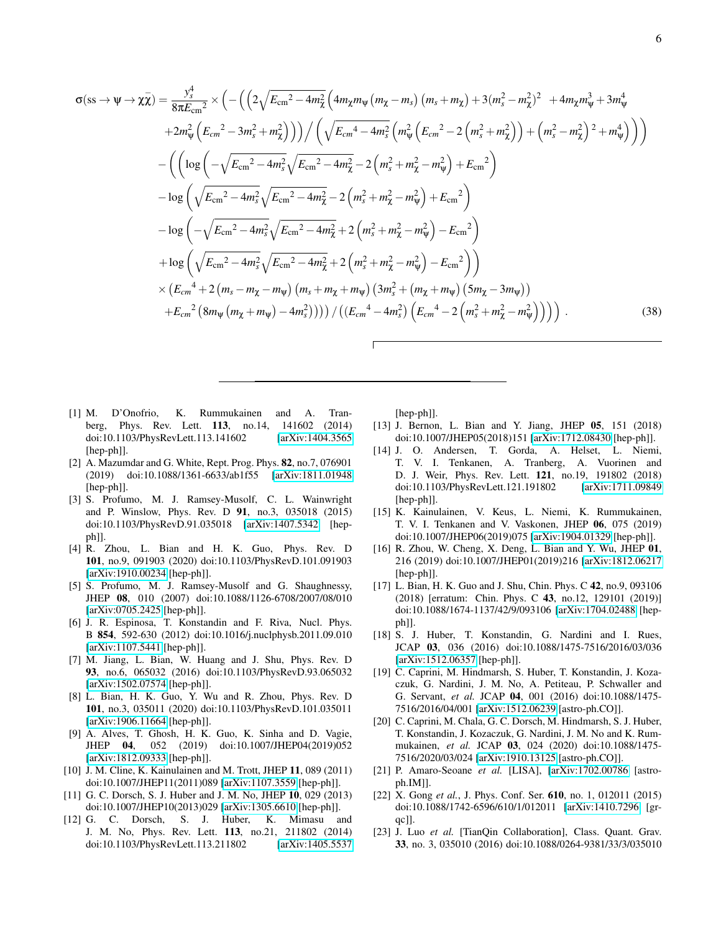$$
\sigma(\text{ss} \to \psi \to \chi \bar{\chi}) = \frac{y_s^4}{8\pi E_{\text{cm}}^2} \times \left( -\left( \left( 2\sqrt{E_{\text{cm}}^2 - 4m_{\chi}^2} \left( 4m_{\chi} m_{\psi} \left( m_{\chi} - m_{s} \right) \left( m_{s} + m_{\chi} \right) + 3 \left( m_{s}^2 - m_{\chi}^2 \right)^2 \right) + 4m_{\chi} m_{\psi}^3 + 3m_{\psi}^4 + 2m_{\psi}^2 \left( E_{\text{cm}}^2 - 3m_{s}^2 + m_{\chi}^2 \right) \right) \right) / \left( \sqrt{E_{\text{cm}}^4 - 4m_{s}^2} \left( m_{\psi}^2 \left( E_{\text{cm}}^2 - 2 \left( m_{s}^2 + m_{\chi}^2 \right) \right) + \left( m_{s}^2 - m_{\chi}^2 \right)^2 + m_{\psi}^4 \right) \right) \right) - \left( \left( \log \left( -\sqrt{E_{\text{cm}}^2 - 4m_{s}^2} \sqrt{E_{\text{cm}}^2 - 4m_{\chi}^2} - 2 \left( m_{s}^2 + m_{\chi}^2 - m_{\psi}^2 \right) + E_{\text{cm}}^2 \right) \right) - \log \left( \sqrt{E_{\text{cm}}^2 - 4m_{s}^2} \sqrt{E_{\text{cm}}^2 - 4m_{\chi}^2} - 2 \left( m_{s}^2 + m_{\chi}^2 - m_{\psi}^2 \right) + E_{\text{cm}}^2 \right) - \log \left( -\sqrt{E_{\text{cm}}^2 - 4m_{s}^2} \sqrt{E_{\text{cm}}^2 - 4m_{\chi}^2} + 2 \left( m_{s}^2 + m_{\chi}^2 - m_{\psi}^2 \right) - E_{\text{cm}}^2 \right) + \log \left( \sqrt{E_{\text{cm}}^2 - 4m_{s}^2} \sqrt{E_{\text{cm}}^2 - 4m_{\chi}^2} + 2 \left( m_{s}^2 + m_{\chi}^2 - m_{\psi}^2 \right) - E_{\text{cm}}^2 \right) \right) \times \left( E_{\text{cm}}^4 + 2
$$

- <span id="page-5-0"></span>[1] M. D'Onofrio, K. Rummukainen and A. Tranberg, Phys. Rev. Lett. 113, no.14, 141602 (2014) doi:10.1103/PhysRevLett.113.141602 [\[arXiv:1404.3565](http://arxiv.org/abs/1404.3565) [hep-ph]].
- <span id="page-5-1"></span>[2] A. Mazumdar and G. White, Rept. Prog. Phys. 82, no.7, 076901 (2019) doi:10.1088/1361-6633/ab1f55 [\[arXiv:1811.01948](http://arxiv.org/abs/1811.01948) [hep-ph]].
- <span id="page-5-2"></span>[3] S. Profumo, M. J. Ramsey-Musolf, C. L. Wainwright and P. Winslow, Phys. Rev. D 91, no.3, 035018 (2015) doi:10.1103/PhysRevD.91.035018 [\[arXiv:1407.5342](http://arxiv.org/abs/1407.5342) [hepph]].
- <span id="page-5-14"></span>[4] R. Zhou, L. Bian and H. K. Guo, Phys. Rev. D 101, no.9, 091903 (2020) doi:10.1103/PhysRevD.101.091903 [\[arXiv:1910.00234](http://arxiv.org/abs/1910.00234) [hep-ph]].
- [5] S. Profumo, M. J. Ramsey-Musolf and G. Shaughnessy, JHEP 08, 010 (2007) doi:10.1088/1126-6708/2007/08/010 [\[arXiv:0705.2425](http://arxiv.org/abs/0705.2425) [hep-ph]].
- [6] J. R. Espinosa, T. Konstandin and F. Riva, Nucl. Phys. B 854, 592-630 (2012) doi:10.1016/j.nuclphysb.2011.09.010 [\[arXiv:1107.5441](http://arxiv.org/abs/1107.5441) [hep-ph]].
- [7] M. Jiang, L. Bian, W. Huang and J. Shu, Phys. Rev. D 93, no.6, 065032 (2016) doi:10.1103/PhysRevD.93.065032 [\[arXiv:1502.07574](http://arxiv.org/abs/1502.07574) [hep-ph]].
- <span id="page-5-15"></span>[8] L. Bian, H. K. Guo, Y. Wu and R. Zhou, Phys. Rev. D 101, no.3, 035011 (2020) doi:10.1103/PhysRevD.101.035011 [\[arXiv:1906.11664](http://arxiv.org/abs/1906.11664) [hep-ph]].
- <span id="page-5-3"></span>[9] A. Alves, T. Ghosh, H. K. Guo, K. Sinha and D. Vagie, JHEP 04, 052 (2019) doi:10.1007/JHEP04(2019)052 [\[arXiv:1812.09333](http://arxiv.org/abs/1812.09333) [hep-ph]].
- <span id="page-5-4"></span>[10] J. M. Cline, K. Kainulainen and M. Trott, JHEP 11, 089 (2011) doi:10.1007/JHEP11(2011)089 [\[arXiv:1107.3559](http://arxiv.org/abs/1107.3559) [hep-ph]].
- [11] G. C. Dorsch, S. J. Huber and J. M. No, JHEP 10, 029 (2013) doi:10.1007/JHEP10(2013)029 [\[arXiv:1305.6610](http://arxiv.org/abs/1305.6610) [hep-ph]].
- [12] G. C. Dorsch, S. J. Huber, K. Mimasu and J. M. No, Phys. Rev. Lett. 113, no.21, 211802 (2014) doi:10.1103/PhysRevLett.113.211802 [\[arXiv:1405.5537](http://arxiv.org/abs/1405.5537)

[hep-ph]].

- [13] J. Bernon, L. Bian and Y. Jiang, JHEP 05, 151 (2018) doi:10.1007/JHEP05(2018)151 [\[arXiv:1712.08430](http://arxiv.org/abs/1712.08430) [hep-ph]].
- [14] J. O. Andersen, T. Gorda, A. Helset, L. Niemi, T. V. I. Tenkanen, A. Tranberg, A. Vuorinen and D. J. Weir, Phys. Rev. Lett. 121, no.19, 191802 (2018) doi:10.1103/PhysRevLett.121.191802 [\[arXiv:1711.09849](http://arxiv.org/abs/1711.09849) [hep-ph]].
- <span id="page-5-5"></span>[15] K. Kainulainen, V. Keus, L. Niemi, K. Rummukainen, T. V. I. Tenkanen and V. Vaskonen, JHEP 06, 075 (2019) doi:10.1007/JHEP06(2019)075 [\[arXiv:1904.01329](http://arxiv.org/abs/1904.01329) [hep-ph]].
- <span id="page-5-6"></span>[16] R. Zhou, W. Cheng, X. Deng, L. Bian and Y. Wu, JHEP 01, 216 (2019) doi:10.1007/JHEP01(2019)216 [\[arXiv:1812.06217](http://arxiv.org/abs/1812.06217) [hep-ph]].
- <span id="page-5-7"></span>[17] L. Bian, H. K. Guo and J. Shu, Chin. Phys. C 42, no.9, 093106 (2018) [erratum: Chin. Phys. C 43, no.12, 129101 (2019)] doi:10.1088/1674-1137/42/9/093106 [\[arXiv:1704.02488](http://arxiv.org/abs/1704.02488) [hepph]].
- <span id="page-5-8"></span>[18] S. J. Huber, T. Konstandin, G. Nardini and I. Rues, JCAP 03, 036 (2016) doi:10.1088/1475-7516/2016/03/036 [\[arXiv:1512.06357](http://arxiv.org/abs/1512.06357) [hep-ph]].
- <span id="page-5-9"></span>[19] C. Caprini, M. Hindmarsh, S. Huber, T. Konstandin, J. Kozaczuk, G. Nardini, J. M. No, A. Petiteau, P. Schwaller and G. Servant, *et al.* JCAP 04, 001 (2016) doi:10.1088/1475- 7516/2016/04/001 [\[arXiv:1512.06239](http://arxiv.org/abs/1512.06239) [astro-ph.CO]].
- <span id="page-5-10"></span>[20] C. Caprini, M. Chala, G. C. Dorsch, M. Hindmarsh, S. J. Huber, T. Konstandin, J. Kozaczuk, G. Nardini, J. M. No and K. Rummukainen, *et al.* JCAP 03, 024 (2020) doi:10.1088/1475- 7516/2020/03/024 [\[arXiv:1910.13125](http://arxiv.org/abs/1910.13125) [astro-ph.CO]].
- <span id="page-5-11"></span>[21] P. Amaro-Seoane *et al.* [LISA], [\[arXiv:1702.00786](http://arxiv.org/abs/1702.00786) [astroph.IM]].
- <span id="page-5-12"></span>[22] X. Gong *et al.*, J. Phys. Conf. Ser. **610**, no. 1, 012011 (2015) doi:10.1088/1742-6596/610/1/012011 [\[arXiv:1410.7296](http://arxiv.org/abs/1410.7296) [grqc]].
- <span id="page-5-13"></span>[23] J. Luo *et al.* [TianQin Collaboration], Class. Quant. Grav. 33, no. 3, 035010 (2016) doi:10.1088/0264-9381/33/3/035010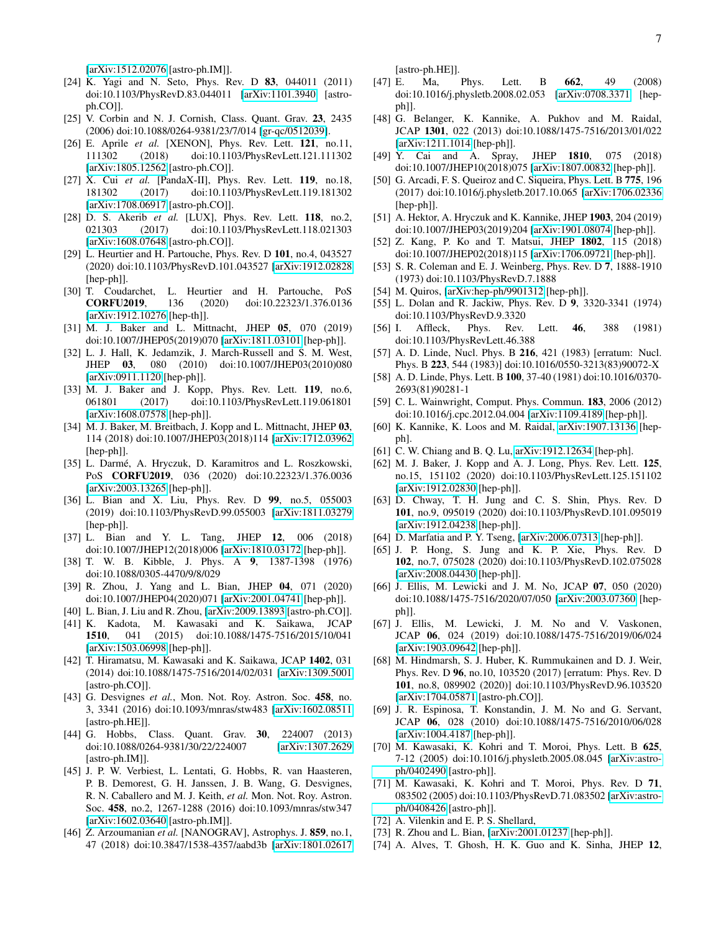[\[arXiv:1512.02076](http://arxiv.org/abs/1512.02076) [astro-ph.IM]].

- <span id="page-6-0"></span>[24] K. Yagi and N. Seto, Phys. Rev. D 83, 044011 (2011) doi:10.1103/PhysRevD.83.044011 [\[arXiv:1101.3940](http://arxiv.org/abs/1101.3940) [astroph.CO]].
- <span id="page-6-1"></span>[25] V. Corbin and N. J. Cornish, Class. Quant. Grav. 23, 2435 (2006) doi:10.1088/0264-9381/23/7/014 [\[gr-qc/0512039\]](http://arxiv.org/abs/gr-qc/0512039).
- <span id="page-6-2"></span>[26] E. Aprile *et al.* [XENON], Phys. Rev. Lett. 121, no.11, 111302 (2018) doi:10.1103/PhysRevLett.121.111302 [\[arXiv:1805.12562](http://arxiv.org/abs/1805.12562) [astro-ph.CO]].
- <span id="page-6-3"></span>[27] X. Cui *et al.* [PandaX-II], Phys. Rev. Lett. 119, no.18, 181302 (2017) doi:10.1103/PhysRevLett.119.181302 [\[arXiv:1708.06917](http://arxiv.org/abs/1708.06917) [astro-ph.CO]].
- <span id="page-6-4"></span>[28] D. S. Akerib *et al.* [LUX], Phys. Rev. Lett. **118**, no.2, 021303 (2017) doi:10.1103/PhysRevLett.118.021303 [\[arXiv:1608.07648](http://arxiv.org/abs/1608.07648) [astro-ph.CO]].
- <span id="page-6-5"></span>[29] L. Heurtier and H. Partouche, Phys. Rev. D 101, no.4, 043527 (2020) doi:10.1103/PhysRevD.101.043527 [\[arXiv:1912.02828](http://arxiv.org/abs/1912.02828) [hep-ph]].
- [30] T. Coudarchet, L. Heurtier and H. Partouche, PoS CORFU2019, 136 (2020) doi:10.22323/1.376.0136 [\[arXiv:1912.10276](http://arxiv.org/abs/1912.10276) [hep-th]].
- <span id="page-6-6"></span>[31] M. J. Baker and L. Mittnacht, JHEP 05, 070 (2019) doi:10.1007/JHEP05(2019)070 [\[arXiv:1811.03101](http://arxiv.org/abs/1811.03101) [hep-ph]].
- <span id="page-6-7"></span>[32] L. J. Hall, K. Jedamzik, J. March-Russell and S. M. West, JHEP 03, 080 (2010) doi:10.1007/JHEP03(2010)080 [\[arXiv:0911.1120](http://arxiv.org/abs/0911.1120) [hep-ph]].
- <span id="page-6-8"></span>[33] M. J. Baker and J. Kopp, Phys. Rev. Lett. 119, no.6, 061801 (2017) doi:10.1103/PhysRevLett.119.061801 [\[arXiv:1608.07578](http://arxiv.org/abs/1608.07578) [hep-ph]].
- [34] M. J. Baker, M. Breitbach, J. Kopp and L. Mittnacht, JHEP 03, 114 (2018) doi:10.1007/JHEP03(2018)114 [\[arXiv:1712.03962](http://arxiv.org/abs/1712.03962) [hep-ph]].
- [35] L. Darmé, A. Hryczuk, D. Karamitros and L. Roszkowski, PoS CORFU2019, 036 (2020) doi:10.22323/1.376.0036 [\[arXiv:2003.13265](http://arxiv.org/abs/2003.13265) [hep-ph]].
- [36] L. Bian and X. Liu, Phys. Rev. D 99, no.5, 055003 (2019) doi:10.1103/PhysRevD.99.055003 [\[arXiv:1811.03279](http://arxiv.org/abs/1811.03279) [hep-ph]].
- <span id="page-6-9"></span>[37] L. Bian and Y. L. Tang, JHEP 12, 006 (2018) doi:10.1007/JHEP12(2018)006 [\[arXiv:1810.03172](http://arxiv.org/abs/1810.03172) [hep-ph]].
- <span id="page-6-10"></span>[38] T. W. B. Kibble, J. Phys. A 9, 1387-1398 (1976) doi:10.1088/0305-4470/9/8/029
- <span id="page-6-11"></span>[39] R. Zhou, J. Yang and L. Bian, JHEP 04, 071 (2020) doi:10.1007/JHEP04(2020)071 [\[arXiv:2001.04741](http://arxiv.org/abs/2001.04741) [hep-ph]].
- <span id="page-6-38"></span>[40] L. Bian, J. Liu and R. Zhou, [\[arXiv:2009.13893](http://arxiv.org/abs/2009.13893) [astro-ph.CO]].
- <span id="page-6-33"></span>[41] K. Kadota, M. Kawasaki and K. Saikawa, JCAP 1510, 041 (2015) doi:10.1088/1475-7516/2015/10/041 [\[arXiv:1503.06998](http://arxiv.org/abs/1503.06998) [hep-ph]].
- <span id="page-6-12"></span>[42] T. Hiramatsu, M. Kawasaki and K. Saikawa, JCAP 1402, 031 (2014) doi:10.1088/1475-7516/2014/02/031 [\[arXiv:1309.5001](http://arxiv.org/abs/1309.5001) [astro-ph.CO]].
- <span id="page-6-13"></span>[43] G. Desvignes *et al.*, Mon. Not. Roy. Astron. Soc. 458, no. 3, 3341 (2016) doi:10.1093/mnras/stw483 [\[arXiv:1602.08511](http://arxiv.org/abs/1602.08511) [astro-ph.HE]].
- <span id="page-6-14"></span>[44] G. Hobbs, Class. Quant. Grav. 30, 224007 (2013) doi:10.1088/0264-9381/30/22/224007 [\[arXiv:1307.2629](http://arxiv.org/abs/1307.2629) [astro-ph.IM]].
- <span id="page-6-15"></span>[45] J. P. W. Verbiest, L. Lentati, G. Hobbs, R. van Haasteren, P. B. Demorest, G. H. Janssen, J. B. Wang, G. Desvignes, R. N. Caballero and M. J. Keith, *et al.* Mon. Not. Roy. Astron. Soc. 458, no.2, 1267-1288 (2016) doi:10.1093/mnras/stw347 [\[arXiv:1602.03640](http://arxiv.org/abs/1602.03640) [astro-ph.IM]].
- <span id="page-6-16"></span>[46] Z. Arzoumanian *et al.* [NANOGRAV], Astrophys. J. 859, no.1, 47 (2018) doi:10.3847/1538-4357/aabd3b [\[arXiv:1801.02617](http://arxiv.org/abs/1801.02617)

[astro-ph.HE]].

- <span id="page-6-17"></span>[47] E. Ma, Phys. Lett. B 662, 49 (2008) doi:10.1016/j.physletb.2008.02.053 [\[arXiv:0708.3371](http://arxiv.org/abs/0708.3371) [hepph]].
- [48] G. Belanger, K. Kannike, A. Pukhov and M. Raidal, JCAP 1301, 022 (2013) doi:10.1088/1475-7516/2013/01/022 [\[arXiv:1211.1014](http://arxiv.org/abs/1211.1014) [hep-ph]].
- [49] Y. Cai and A. Spray, JHEP 1810, 075 (2018) doi:10.1007/JHEP10(2018)075 [\[arXiv:1807.00832](http://arxiv.org/abs/1807.00832) [hep-ph]].
- [50] G. Arcadi, F. S. Queiroz and C. Siqueira, Phys. Lett. B 775, 196 (2017) doi:10.1016/j.physletb.2017.10.065 [\[arXiv:1706.02336](http://arxiv.org/abs/1706.02336) [hep-ph]].
- [51] A. Hektor, A. Hryczuk and K. Kannike, JHEP 1903, 204 (2019) doi:10.1007/JHEP03(2019)204 [\[arXiv:1901.08074](http://arxiv.org/abs/1901.08074) [hep-ph]].
- <span id="page-6-18"></span>[52] Z. Kang, P. Ko and T. Matsui, JHEP 1802, 115 (2018) doi:10.1007/JHEP02(2018)115 [\[arXiv:1706.09721](http://arxiv.org/abs/1706.09721) [hep-ph]].
- <span id="page-6-19"></span>[53] S. R. Coleman and E. J. Weinberg, Phys. Rev. D 7, 1888-1910 (1973) doi:10.1103/PhysRevD.7.1888
- <span id="page-6-20"></span>[54] M. Quiros, [\[arXiv:hep-ph/9901312](http://arxiv.org/abs/hep-ph/9901312) [hep-ph]].
- <span id="page-6-21"></span>[55] L. Dolan and R. Jackiw, Phys. Rev. D 9, 3320-3341 (1974) doi:10.1103/PhysRevD.9.3320
- <span id="page-6-22"></span>[56] I. Affleck, Phys. Rev. Lett. 46, 388 (1981) doi:10.1103/PhysRevLett.46.388
- [57] A. D. Linde, Nucl. Phys. B 216, 421 (1983) [erratum: Nucl. Phys. B 223, 544 (1983)] doi:10.1016/0550-3213(83)90072-X
- <span id="page-6-23"></span>[58] A. D. Linde, Phys. Lett. B 100, 37-40 (1981) doi:10.1016/0370- 2693(81)90281-1
- <span id="page-6-24"></span>[59] C. L. Wainwright, Comput. Phys. Commun. **183**, 2006 (2012) doi:10.1016/j.cpc.2012.04.004 [\[arXiv:1109.4189](http://arxiv.org/abs/1109.4189) [hep-ph]].
- <span id="page-6-25"></span>[60] K. Kannike, K. Loos and M. Raidal, [arXiv:1907.13136](http://arxiv.org/abs/1907.13136) [hepph].
- <span id="page-6-26"></span>[61] C. W. Chiang and B. Q. Lu, [arXiv:1912.12634](http://arxiv.org/abs/1912.12634) [hep-ph].
- <span id="page-6-27"></span>[62] M. J. Baker, J. Kopp and A. J. Long, Phys. Rev. Lett. 125, no.15, 151102 (2020) doi:10.1103/PhysRevLett.125.151102 [\[arXiv:1912.02830](http://arxiv.org/abs/1912.02830) [hep-ph]].
- [63] D. Chway, T. H. Jung and C. S. Shin, Phys. Rev. D 101, no.9, 095019 (2020) doi:10.1103/PhysRevD.101.095019 [\[arXiv:1912.04238](http://arxiv.org/abs/1912.04238) [hep-ph]].
- [64] D. Marfatia and P. Y. Tseng, [\[arXiv:2006.07313](http://arxiv.org/abs/2006.07313) [hep-ph]].
- <span id="page-6-28"></span>[65] J. P. Hong, S. Jung and K. P. Xie, Phys. Rev. D 102, no.7, 075028 (2020) doi:10.1103/PhysRevD.102.075028 [\[arXiv:2008.04430](http://arxiv.org/abs/2008.04430) [hep-ph]].
- <span id="page-6-29"></span>[66] J. Ellis, M. Lewicki and J. M. No, JCAP 07, 050 (2020) doi:10.1088/1475-7516/2020/07/050 [\[arXiv:2003.07360](http://arxiv.org/abs/2003.07360) [hepph]].
- <span id="page-6-30"></span>[67] J. Ellis, M. Lewicki, J. M. No and V. Vaskonen, JCAP 06, 024 (2019) doi:10.1088/1475-7516/2019/06/024 [\[arXiv:1903.09642](http://arxiv.org/abs/1903.09642) [hep-ph]].
- <span id="page-6-31"></span>[68] M. Hindmarsh, S. J. Huber, K. Rummukainen and D. J. Weir, Phys. Rev. D 96, no.10, 103520 (2017) [erratum: Phys. Rev. D 101, no.8, 089902 (2020)] doi:10.1103/PhysRevD.96.103520 [\[arXiv:1704.05871](http://arxiv.org/abs/1704.05871) [astro-ph.CO]].
- <span id="page-6-32"></span>[69] J. R. Espinosa, T. Konstandin, J. M. No and G. Servant, JCAP 06, 028 (2010) doi:10.1088/1475-7516/2010/06/028 [\[arXiv:1004.4187](http://arxiv.org/abs/1004.4187) [hep-ph]].
- <span id="page-6-35"></span>[70] M. Kawasaki, K. Kohri and T. Moroi, Phys. Lett. B 625, 7-12 (2005) doi:10.1016/j.physletb.2005.08.045 [\[arXiv:astro](http://arxiv.org/abs/astro-ph/0402490)[ph/0402490](http://arxiv.org/abs/astro-ph/0402490) [astro-ph]].
- <span id="page-6-36"></span>[71] M. Kawasaki, K. Kohri and T. Moroi, Phys. Rev. D 71, 083502 (2005) doi:10.1103/PhysRevD.71.083502 [\[arXiv:astro](http://arxiv.org/abs/astro-ph/0408426)[ph/0408426](http://arxiv.org/abs/astro-ph/0408426) [astro-ph]].
- <span id="page-6-37"></span>[72] A. Vilenkin and E. P. S. Shellard,
- <span id="page-6-34"></span>[73] R. Zhou and L. Bian, [\[arXiv:2001.01237](http://arxiv.org/abs/2001.01237) [hep-ph]].
- [74] A. Alves, T. Ghosh, H. K. Guo and K. Sinha, JHEP 12,